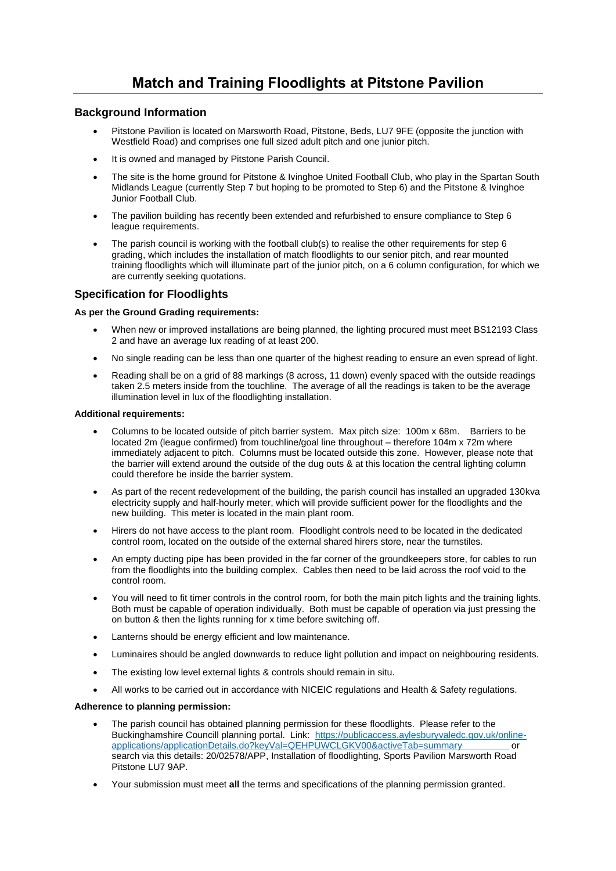# **Background Information**

- Pitstone Pavilion is located on Marsworth Road, Pitstone, Beds, LU7 9FE (opposite the junction with Westfield Road) and comprises one full sized adult pitch and one junior pitch.
- It is owned and managed by Pitstone Parish Council.
- The site is the home ground for Pitstone & Ivinghoe United Football Club, who play in the Spartan South Midlands League (currently Step 7 but hoping to be promoted to Step 6) and the Pitstone & Ivinghoe Junior Football Club.
- The pavilion building has recently been extended and refurbished to ensure compliance to Step 6 league requirements.
- The parish council is working with the football club(s) to realise the other requirements for step 6 grading, which includes the installation of match floodlights to our senior pitch, and rear mounted training floodlights which will illuminate part of the junior pitch, on a 6 column configuration, for which we are currently seeking quotations.

# **Specification for Floodlights**

#### **As per the Ground Grading requirements:**

- When new or improved installations are being planned, the lighting procured must meet BS12193 Class 2 and have an average lux reading of at least 200.
- No single reading can be less than one quarter of the highest reading to ensure an even spread of light.
- Reading shall be on a grid of 88 markings (8 across, 11 down) evenly spaced with the outside readings taken 2.5 meters inside from the touchline. The average of all the readings is taken to be the average illumination level in lux of the floodlighting installation.

#### **Additional requirements:**

- Columns to be located outside of pitch barrier system. Max pitch size: 100m x 68m. Barriers to be located 2m (league confirmed) from touchline/goal line throughout – therefore 104m x 72m where immediately adjacent to pitch. Columns must be located outside this zone. However, please note that the barrier will extend around the outside of the dug outs & at this location the central lighting column could therefore be inside the barrier system.
- As part of the recent redevelopment of the building, the parish council has installed an upgraded 130kva electricity supply and half-hourly meter, which will provide sufficient power for the floodlights and the new building. This meter is located in the main plant room.
- Hirers do not have access to the plant room. Floodlight controls need to be located in the dedicated control room, located on the outside of the external shared hirers store, near the turnstiles.
- An empty ducting pipe has been provided in the far corner of the groundkeepers store, for cables to run from the floodlights into the building complex. Cables then need to be laid across the roof void to the control room.
- You will need to fit timer controls in the control room, for both the main pitch lights and the training lights. Both must be capable of operation individually. Both must be capable of operation via just pressing the on button & then the lights running for x time before switching off.
- Lanterns should be energy efficient and low maintenance.
- Luminaires should be angled downwards to reduce light pollution and impact on neighbouring residents.
- The existing low level external lights & controls should remain in situ.
- All works to be carried out in accordance with NICEIC regulations and Health & Safety regulations.

### **Adherence to planning permission:**

- The parish council has obtained planning permission for these floodlights. Please refer to the Buckinghamshire Councill planning portal. Link: [https://publicaccess.aylesburyvaledc.gov.uk/online](https://publicaccess.aylesburyvaledc.gov.uk/online-applications/applicationDetails.do?keyVal=QEHPUWCLGKV00&activeTab=summary%20%20%20%20%20%20%20%20%20%20%20%20%20%20%20%20%20%20%20)[applications/applicationDetails.do?keyVal=QEHPUWCLGKV00&activeTab=summary](https://publicaccess.aylesburyvaledc.gov.uk/online-applications/applicationDetails.do?keyVal=QEHPUWCLGKV00&activeTab=summary%20%20%20%20%20%20%20%20%20%20%20%20%20%20%20%20%20%20%20) or search via this details: 20/02578/APP, Installation of floodlighting, Sports Pavilion Marsworth Road Pitstone LU7 9AP.
- Your submission must meet **all** the terms and specifications of the planning permission granted.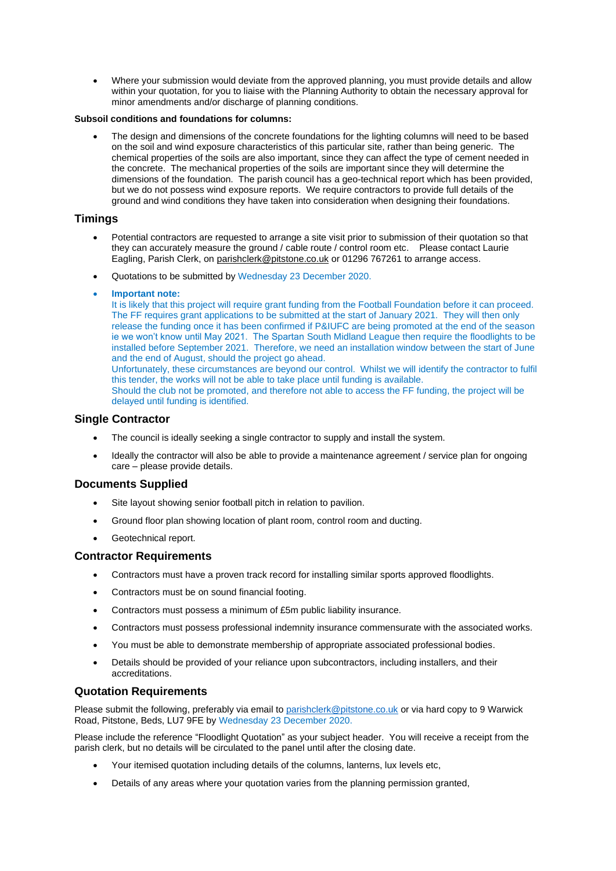• Where your submission would deviate from the approved planning, you must provide details and allow within your quotation, for you to liaise with the Planning Authority to obtain the necessary approval for minor amendments and/or discharge of planning conditions.

#### **Subsoil conditions and foundations for columns:**

• The design and dimensions of the concrete foundations for the lighting columns will need to be based on the soil and wind exposure characteristics of this particular site, rather than being generic. The chemical properties of the soils are also important, since they can affect the type of cement needed in the concrete. The mechanical properties of the soils are important since they will determine the dimensions of the foundation. The parish council has a geo-technical report which has been provided, but we do not possess wind exposure reports. We require contractors to provide full details of the ground and wind conditions they have taken into consideration when designing their foundations.

### **Timings**

- Potential contractors are requested to arrange a site visit prior to submission of their quotation so that they can accurately measure the ground / cable route / control room etc. Please contact Laurie Eagling, Parish Clerk, o[n parishclerk@pitstone.co.uk](mailto:parishclerk@pitstone.co.uk) or 01296 767261 to arrange access.
- Quotations to be submitted by Wednesday 23 December 2020.
- **Important note:**

It is likely that this project will require grant funding from the Football Foundation before it can proceed. The FF requires grant applications to be submitted at the start of January 2021. They will then only release the funding once it has been confirmed if P&IUFC are being promoted at the end of the season ie we won't know until May 2021. The Spartan South Midland League then require the floodlights to be installed before September 2021. Therefore, we need an installation window between the start of June and the end of August, should the project go ahead.

Unfortunately, these circumstances are beyond our control. Whilst we will identify the contractor to fulfil this tender, the works will not be able to take place until funding is available.

Should the club not be promoted, and therefore not able to access the FF funding, the project will be delayed until funding is identified.

### **Single Contractor**

- The council is ideally seeking a single contractor to supply and install the system.
- Ideally the contractor will also be able to provide a maintenance agreement / service plan for ongoing care – please provide details.

# **Documents Supplied**

- Site layout showing senior football pitch in relation to pavilion.
- Ground floor plan showing location of plant room, control room and ducting.
- Geotechnical report.

# **Contractor Requirements**

- Contractors must have a proven track record for installing similar sports approved floodlights.
- Contractors must be on sound financial footing.
- Contractors must possess a minimum of £5m public liability insurance.
- Contractors must possess professional indemnity insurance commensurate with the associated works.
- You must be able to demonstrate membership of appropriate associated professional bodies.
- Details should be provided of your reliance upon subcontractors, including installers, and their accreditations.

# **Quotation Requirements**

Please submit the following, preferably via email t[o parishclerk@pitstone.co.uk](mailto:parishclerk@pitstone.co.uk) or via hard copy to 9 Warwick Road, Pitstone, Beds, LU7 9FE by Wednesday 23 December 2020.

Please include the reference "Floodlight Quotation" as your subject header. You will receive a receipt from the parish clerk, but no details will be circulated to the panel until after the closing date.

- Your itemised quotation including details of the columns, lanterns, lux levels etc,
- Details of any areas where your quotation varies from the planning permission granted,